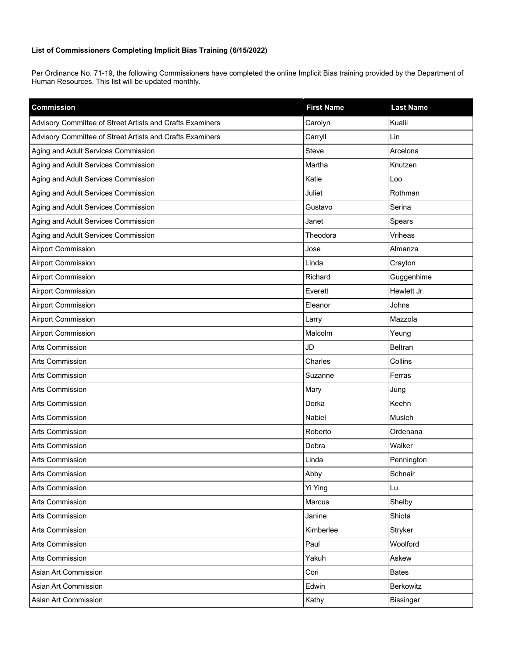## **List of Commissioners Completing Implicit Bias Training (6/15/2022)**

Per Ordinance No. 71-19, the following Commissioners have completed the online Implicit Bias training provided by the Department of Human Resources. This list will be updated monthly.

| <b>Commission</b>                                         | <b>First Name</b> | <b>Last Name</b> |
|-----------------------------------------------------------|-------------------|------------------|
| Advisory Committee of Street Artists and Crafts Examiners | Carolyn           | Kualii           |
| Advisory Committee of Street Artists and Crafts Examiners | Carryll           | Lin              |
| Aging and Adult Services Commission                       | Steve             | Arcelona         |
| Aging and Adult Services Commission                       | Martha            | Knutzen          |
| Aging and Adult Services Commission                       | Katie             | Loo              |
| Aging and Adult Services Commission                       | Juliet            | Rothman          |
| Aging and Adult Services Commission                       | Gustavo           | Serina           |
| Aging and Adult Services Commission                       | Janet             | Spears           |
| Aging and Adult Services Commission                       | Theodora          | Vriheas          |
| <b>Airport Commission</b>                                 | Jose              | Almanza          |
| <b>Airport Commission</b>                                 | Linda             | Crayton          |
| <b>Airport Commission</b>                                 | Richard           | Guggenhime       |
| <b>Airport Commission</b>                                 | Everett           | Hewlett Jr.      |
| <b>Airport Commission</b>                                 | Eleanor           | Johns            |
| <b>Airport Commission</b>                                 | Larry             | Mazzola          |
| <b>Airport Commission</b>                                 | Malcolm           | Yeung            |
| <b>Arts Commission</b>                                    | <b>JD</b>         | <b>Beltran</b>   |
| Arts Commission                                           | Charles           | Collins          |
| Arts Commission                                           | Suzanne           | Ferras           |
| <b>Arts Commission</b>                                    | Mary              | Jung             |
| <b>Arts Commission</b>                                    | Dorka             | Keehn            |
| Arts Commission                                           | Nabiel            | Musleh           |
| Arts Commission                                           | Roberto           | Ordenana         |
| Arts Commission                                           | Debra             | Walker           |
| Arts Commission                                           | Linda             | Pennington       |
| Arts Commission                                           | Abby              | Schnair          |
| Arts Commission                                           | Yi Ying           | Lu               |
| Arts Commission                                           | Marcus            | Shelby           |
| Arts Commission                                           | Janine            | Shiota           |
| Arts Commission                                           | Kimberlee         | Stryker          |
| Arts Commission                                           | Paul              | Woolford         |
| Arts Commission                                           | Yakuh             | Askew            |
| Asian Art Commission                                      | Cori              | <b>Bates</b>     |
| Asian Art Commission                                      | Edwin             | Berkowitz        |
| Asian Art Commission                                      | Kathy             | <b>Bissinger</b> |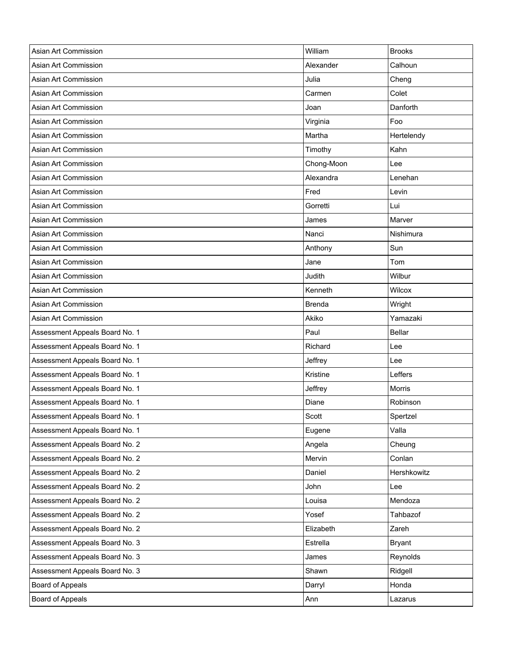| Asian Art Commission           | William       | <b>Brooks</b> |
|--------------------------------|---------------|---------------|
| Asian Art Commission           | Alexander     | Calhoun       |
| Asian Art Commission           | Julia         | Cheng         |
| Asian Art Commission           | Carmen        | Colet         |
| Asian Art Commission           | Joan          | Danforth      |
| Asian Art Commission           | Virginia      | Foo           |
| Asian Art Commission           | Martha        | Hertelendy    |
| Asian Art Commission           | Timothy       | Kahn          |
| Asian Art Commission           | Chong-Moon    | Lee           |
| Asian Art Commission           | Alexandra     | Lenehan       |
| Asian Art Commission           | Fred          | Levin         |
| Asian Art Commission           | Gorretti      | Lui           |
| Asian Art Commission           | James         | Marver        |
| Asian Art Commission           | Nanci         | Nishimura     |
| Asian Art Commission           | Anthony       | Sun           |
| Asian Art Commission           | Jane          | Tom           |
| Asian Art Commission           | Judith        | Wilbur        |
| Asian Art Commission           | Kenneth       | Wilcox        |
| Asian Art Commission           | <b>Brenda</b> | Wright        |
| Asian Art Commission           | Akiko         | Yamazaki      |
| Assessment Appeals Board No. 1 | Paul          | <b>Bellar</b> |
| Assessment Appeals Board No. 1 | Richard       | Lee           |
| Assessment Appeals Board No. 1 | Jeffrey       | Lee           |
| Assessment Appeals Board No. 1 | Kristine      | Leffers       |
| Assessment Appeals Board No. 1 | Jeffrey       | Morris        |
| Assessment Appeals Board No. 1 | Diane         | Robinson      |
| Assessment Appeals Board No. 1 | Scott         | Spertzel      |
| Assessment Appeals Board No. 1 | Eugene        | Valla         |
| Assessment Appeals Board No. 2 | Angela        | Cheung        |
| Assessment Appeals Board No. 2 | Mervin        | Conlan        |
| Assessment Appeals Board No. 2 | Daniel        | Hershkowitz   |
| Assessment Appeals Board No. 2 | John          | Lee           |
| Assessment Appeals Board No. 2 | Louisa        | Mendoza       |
| Assessment Appeals Board No. 2 | Yosef         | Tahbazof      |
| Assessment Appeals Board No. 2 | Elizabeth     | Zareh         |
|                                |               |               |
| Assessment Appeals Board No. 3 | Estrella      | <b>Bryant</b> |
| Assessment Appeals Board No. 3 | James         | Reynolds      |
| Assessment Appeals Board No. 3 | Shawn         | Ridgell       |
| Board of Appeals               | Darryl        | Honda         |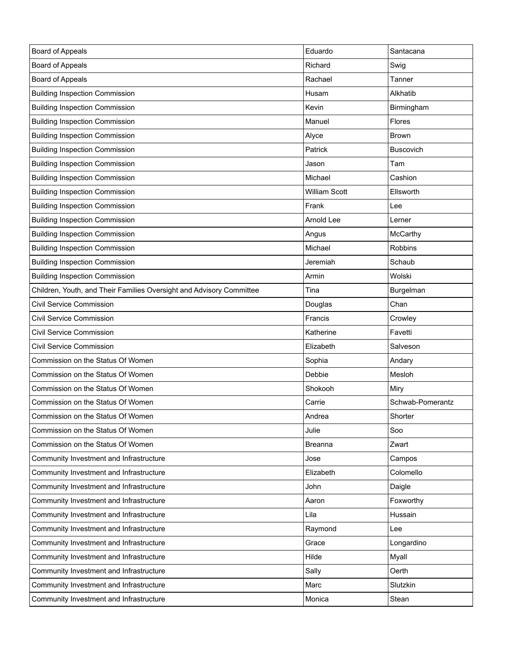| Board of Appeals                                                     | Eduardo              | Santacana        |
|----------------------------------------------------------------------|----------------------|------------------|
| Board of Appeals                                                     | Richard              | Swig             |
| Board of Appeals                                                     | Rachael              | Tanner           |
| <b>Building Inspection Commission</b>                                | Husam                | Alkhatib         |
| <b>Building Inspection Commission</b>                                | Kevin                | Birmingham       |
| <b>Building Inspection Commission</b>                                | Manuel               | <b>Flores</b>    |
| <b>Building Inspection Commission</b>                                | Alyce                | <b>Brown</b>     |
| <b>Building Inspection Commission</b>                                | Patrick              | <b>Buscovich</b> |
| <b>Building Inspection Commission</b>                                | Jason                | Tam              |
| <b>Building Inspection Commission</b>                                | Michael              | Cashion          |
| <b>Building Inspection Commission</b>                                | <b>William Scott</b> | Ellsworth        |
| <b>Building Inspection Commission</b>                                | Frank                | Lee              |
| <b>Building Inspection Commission</b>                                | Arnold Lee           | Lerner           |
| <b>Building Inspection Commission</b>                                | Angus                | McCarthy         |
| <b>Building Inspection Commission</b>                                | Michael              | Robbins          |
| <b>Building Inspection Commission</b>                                | Jeremiah             | Schaub           |
| <b>Building Inspection Commission</b>                                | Armin                | Wolski           |
| Children, Youth, and Their Families Oversight and Advisory Committee | Tina                 | Burgelman        |
| <b>Civil Service Commission</b>                                      | Douglas              | Chan             |
| <b>Civil Service Commission</b>                                      | Francis              | Crowley          |
| Civil Service Commission                                             | Katherine            | Favetti          |
| Civil Service Commission                                             | Elizabeth            | Salveson         |
| Commission on the Status Of Women                                    | Sophia               | Andary           |
| Commission on the Status Of Women                                    | Debbie               | Mesloh           |
| Commission on the Status Of Women                                    | Shokooh              | Miry             |
| Commission on the Status Of Women                                    | Carrie               | Schwab-Pomerantz |
| Commission on the Status Of Women                                    | Andrea               | Shorter          |
| Commission on the Status Of Women                                    | Julie                | Soo              |
| Commission on the Status Of Women                                    | <b>Breanna</b>       | Zwart            |
| Community Investment and Infrastructure                              | Jose                 | Campos           |
| Community Investment and Infrastructure                              | Elizabeth            | Colomello        |
| Community Investment and Infrastructure                              | John                 | Daigle           |
| Community Investment and Infrastructure                              | Aaron                | Foxworthy        |
| Community Investment and Infrastructure                              | Lila                 | Hussain          |
| Community Investment and Infrastructure                              | Raymond              | Lee              |
| Community Investment and Infrastructure                              | Grace                | Longardino       |
| Community Investment and Infrastructure                              | Hilde                | Myall            |
| Community Investment and Infrastructure                              | Sally                | Oerth            |
| Community Investment and Infrastructure                              | Marc                 | Slutzkin         |
| Community Investment and Infrastructure                              | Monica               | Stean            |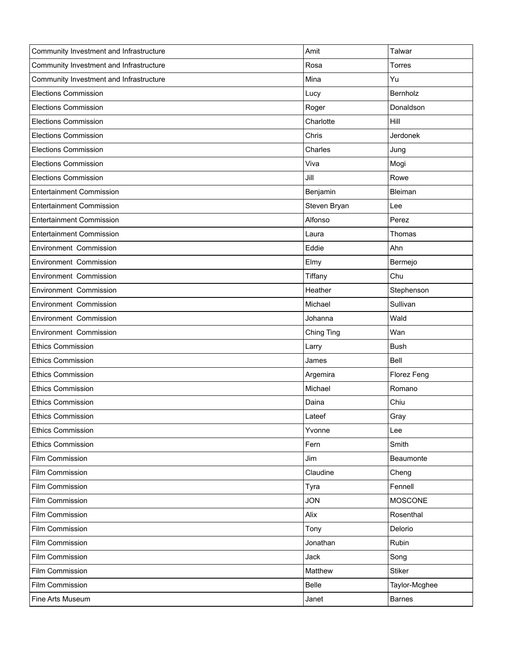| Community Investment and Infrastructure | Amit         | Talwar         |
|-----------------------------------------|--------------|----------------|
| Community Investment and Infrastructure | Rosa         | Torres         |
| Community Investment and Infrastructure | Mina         | Yu             |
| <b>Elections Commission</b>             | Lucy         | Bernholz       |
| <b>Elections Commission</b>             | Roger        | Donaldson      |
| <b>Elections Commission</b>             | Charlotte    | Hill           |
| <b>Elections Commission</b>             | Chris        | Jerdonek       |
| <b>Elections Commission</b>             | Charles      | Jung           |
| <b>Elections Commission</b>             | Viva         | Mogi           |
| <b>Elections Commission</b>             | Jill         | Rowe           |
| <b>Entertainment Commission</b>         | Benjamin     | Bleiman        |
| <b>Entertainment Commission</b>         | Steven Bryan | Lee            |
| <b>Entertainment Commission</b>         | Alfonso      | Perez          |
| <b>Entertainment Commission</b>         | Laura        | Thomas         |
| Environment Commission                  | Eddie        | Ahn            |
| Environment Commission                  | Elmy         | Bermejo        |
| Environment Commission                  | Tiffany      | Chu            |
| Environment Commission                  | Heather      | Stephenson     |
| Environment Commission                  | Michael      | Sullivan       |
| Environment Commission                  | Johanna      | Wald           |
|                                         |              |                |
| Environment Commission                  | Ching Ting   | Wan            |
| <b>Ethics Commission</b>                | Larry        | <b>Bush</b>    |
| <b>Ethics Commission</b>                | James        | Bell           |
| <b>Ethics Commission</b>                | Argemira     | Florez Feng    |
| <b>Ethics Commission</b>                | Michael      | Romano         |
| <b>Ethics Commission</b>                | Daina        | Chiu           |
| <b>Ethics Commission</b>                | Lateef       | Gray           |
| <b>Ethics Commission</b>                | Yvonne       | Lee            |
| <b>Ethics Commission</b>                | Fern         | Smith          |
| Film Commission                         | Jim          | Beaumonte      |
| Film Commission                         | Claudine     | Cheng          |
| Film Commission                         | Tyra         | Fennell        |
| Film Commission                         | <b>JON</b>   | <b>MOSCONE</b> |
| Film Commission                         | Alix         | Rosenthal      |
| Film Commission                         | Tony         | Delorio        |
| Film Commission                         | Jonathan     | Rubin          |
| Film Commission                         | Jack         | Song           |
| Film Commission                         | Matthew      | <b>Stiker</b>  |
| Film Commission                         | Belle        | Taylor-Mcghee  |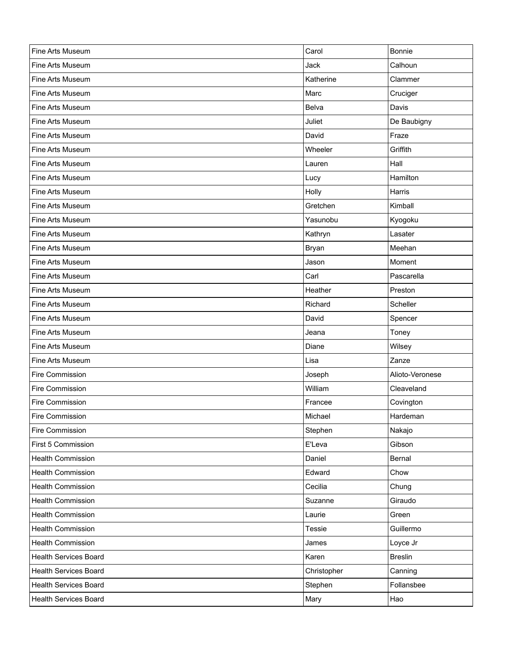| Fine Arts Museum             | Carol       | Bonnie          |
|------------------------------|-------------|-----------------|
| Fine Arts Museum             | Jack        | Calhoun         |
| Fine Arts Museum             | Katherine   | Clammer         |
| Fine Arts Museum             | Marc        | Cruciger        |
| Fine Arts Museum             | Belva       | Davis           |
| Fine Arts Museum             | Juliet      | De Baubigny     |
| Fine Arts Museum             | David       | Fraze           |
| Fine Arts Museum             | Wheeler     | Griffith        |
| Fine Arts Museum             | Lauren      | Hall            |
| Fine Arts Museum             | Lucy        | Hamilton        |
| Fine Arts Museum             | Holly       | Harris          |
| Fine Arts Museum             | Gretchen    | Kimball         |
| Fine Arts Museum             | Yasunobu    | Kyogoku         |
| Fine Arts Museum             | Kathryn     | Lasater         |
| Fine Arts Museum             | Bryan       | Meehan          |
| Fine Arts Museum             | Jason       | Moment          |
| Fine Arts Museum             | Carl        | Pascarella      |
| Fine Arts Museum             | Heather     | Preston         |
| Fine Arts Museum             | Richard     | Scheller        |
| Fine Arts Museum             | David       | Spencer         |
| Fine Arts Museum             | Jeana       | Toney           |
| Fine Arts Museum             | Diane       | Wilsey          |
| Fine Arts Museum             | Lisa        | Zanze           |
| Fire Commission              | Joseph      | Alioto-Veronese |
| Fire Commission              | William     | Cleaveland      |
| Fire Commission              | Francee     | Covington       |
| Fire Commission              | Michael     | Hardeman        |
| Fire Commission              | Stephen     | Nakajo          |
| First 5 Commission           | E'Leva      | Gibson          |
| <b>Health Commission</b>     | Daniel      | Bernal          |
| <b>Health Commission</b>     | Edward      | Chow            |
| <b>Health Commission</b>     | Cecilia     | Chung           |
| <b>Health Commission</b>     | Suzanne     | Giraudo         |
| <b>Health Commission</b>     | Laurie      | Green           |
| <b>Health Commission</b>     | Tessie      | Guillermo       |
| <b>Health Commission</b>     | James       | Loyce Jr        |
| <b>Health Services Board</b> | Karen       | <b>Breslin</b>  |
| <b>Health Services Board</b> | Christopher | Canning         |
| <b>Health Services Board</b> | Stephen     | Follansbee      |
| <b>Health Services Board</b> | Mary        | Hao             |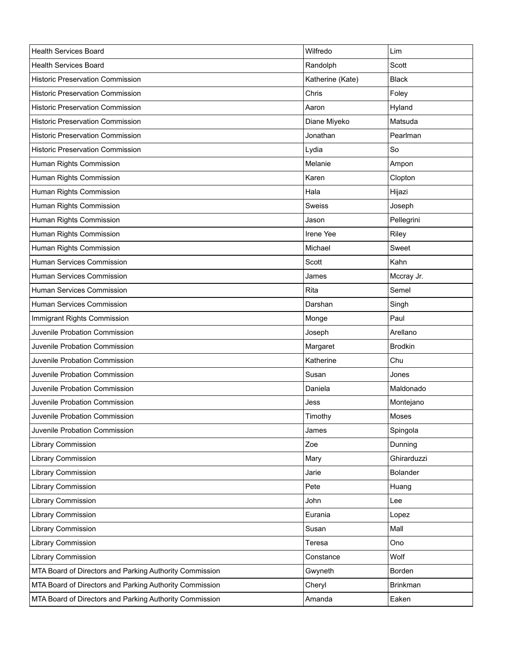| <b>Health Services Board</b>                            | Wilfredo         | Lim             |
|---------------------------------------------------------|------------------|-----------------|
| <b>Health Services Board</b>                            | Randolph         | Scott           |
| <b>Historic Preservation Commission</b>                 | Katherine (Kate) | <b>Black</b>    |
| Historic Preservation Commission                        | Chris            | Foley           |
| <b>Historic Preservation Commission</b>                 | Aaron            | Hyland          |
| <b>Historic Preservation Commission</b>                 | Diane Miyeko     | Matsuda         |
| <b>Historic Preservation Commission</b>                 | Jonathan         | Pearlman        |
| <b>Historic Preservation Commission</b>                 | Lydia            | So              |
| Human Rights Commission                                 | Melanie          | Ampon           |
| Human Rights Commission                                 | Karen            | Clopton         |
| Human Rights Commission                                 | Hala             | Hijazi          |
| Human Rights Commission                                 | Sweiss           | Joseph          |
| Human Rights Commission                                 | Jason            | Pellegrini      |
| Human Rights Commission                                 | Irene Yee        | Riley           |
| Human Rights Commission                                 | Michael          | Sweet           |
| Human Services Commission                               | Scott            | Kahn            |
| Human Services Commission                               | James            | Mccray Jr.      |
| Human Services Commission                               | Rita             | Semel           |
| Human Services Commission                               | Darshan          | Singh           |
| Immigrant Rights Commission                             | Monge            | Paul            |
| Juvenile Probation Commission                           | Joseph           | Arellano        |
| Juvenile Probation Commission                           | Margaret         | <b>Brodkin</b>  |
| Juvenile Probation Commission                           | Katherine        | Chu             |
| Juvenile Probation Commission                           | Susan            | Jones           |
| Juvenile Probation Commission                           | Daniela          | Maldonado       |
| Juvenile Probation Commission                           | Jess             | Montejano       |
| Juvenile Probation Commission                           | Timothy          | Moses           |
| Juvenile Probation Commission                           | James            | Spingola        |
| <b>Library Commission</b>                               | Zoe              | Dunning         |
| Library Commission                                      | Mary             | Ghirarduzzi     |
| Library Commission                                      | Jarie            | <b>Bolander</b> |
| Library Commission                                      | Pete             | Huang           |
| Library Commission                                      | John             | Lee             |
| Library Commission                                      | Eurania          | Lopez           |
| Library Commission                                      | Susan            | Mall            |
| Library Commission                                      | Teresa           | Ono             |
| Library Commission                                      | Constance        | Wolf            |
| MTA Board of Directors and Parking Authority Commission | Gwyneth          | Borden          |
| MTA Board of Directors and Parking Authority Commission | Cheryl           | <b>Brinkman</b> |
| MTA Board of Directors and Parking Authority Commission | Amanda           | Eaken           |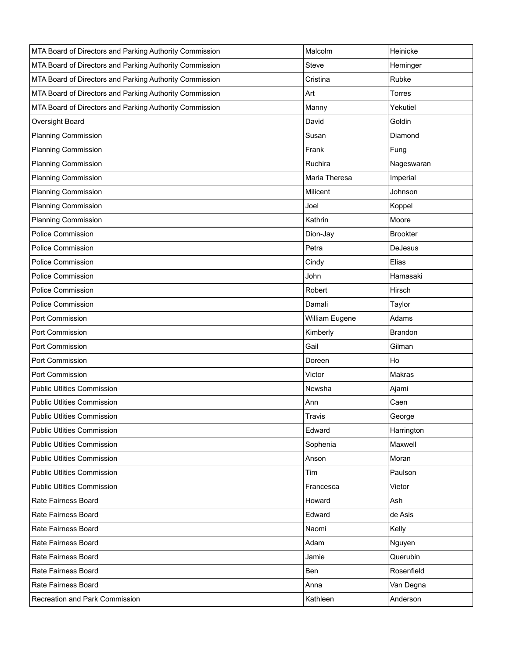| MTA Board of Directors and Parking Authority Commission | Malcolm        | Heinicke        |
|---------------------------------------------------------|----------------|-----------------|
| MTA Board of Directors and Parking Authority Commission | Steve          | Heminger        |
| MTA Board of Directors and Parking Authority Commission | Cristina       | Rubke           |
| MTA Board of Directors and Parking Authority Commission | Art            | <b>Torres</b>   |
| MTA Board of Directors and Parking Authority Commission | Manny          | Yekutiel        |
| Oversight Board                                         | David          | Goldin          |
| <b>Planning Commission</b>                              | Susan          | Diamond         |
| <b>Planning Commission</b>                              | Frank          | Fung            |
| Planning Commission                                     | Ruchira        | Nageswaran      |
| <b>Planning Commission</b>                              | Maria Theresa  | Imperial        |
| <b>Planning Commission</b>                              | Milicent       | Johnson         |
| <b>Planning Commission</b>                              | Joel           | Koppel          |
| <b>Planning Commission</b>                              | Kathrin        | Moore           |
| Police Commission                                       | Dion-Jay       | <b>Brookter</b> |
| <b>Police Commission</b>                                | Petra          | <b>DeJesus</b>  |
| <b>Police Commission</b>                                | Cindy          | Elias           |
| <b>Police Commission</b>                                | John           | Hamasaki        |
| Police Commission                                       | Robert         | Hirsch          |
| <b>Police Commission</b>                                | Damali         | Taylor          |
| Port Commission                                         | William Eugene | Adams           |
| Port Commission                                         | Kimberly       | Brandon         |
| Port Commission                                         | Gail           | Gilman          |
| Port Commission                                         | Doreen         | Ho              |
| Port Commission                                         | Victor         | Makras          |
| <b>Public Utlities Commission</b>                       | Newsha         | Ajami           |
| <b>Public Utlities Commission</b>                       | Ann            | Caen            |
| <b>Public Utlities Commission</b>                       | Travis         | George          |
| <b>Public Utlities Commission</b>                       | Edward         | Harrington      |
| <b>Public Utlities Commission</b>                       | Sophenia       | Maxwell         |
| <b>Public Utlities Commission</b>                       | Anson          | Moran           |
| <b>Public Utlities Commission</b>                       | Tim            | Paulson         |
| <b>Public Utlities Commission</b>                       | Francesca      | Vietor          |
| Rate Fairness Board                                     | Howard         | Ash             |
| Rate Fairness Board                                     | Edward         | de Asis         |
| Rate Fairness Board                                     | Naomi          | Kelly           |
| Rate Fairness Board                                     | Adam           | Nguyen          |
| Rate Fairness Board                                     | Jamie          | Querubin        |
| Rate Fairness Board                                     | Ben            | Rosenfield      |
| Rate Fairness Board                                     | Anna           | Van Degna       |
| Recreation and Park Commission                          | Kathleen       | Anderson        |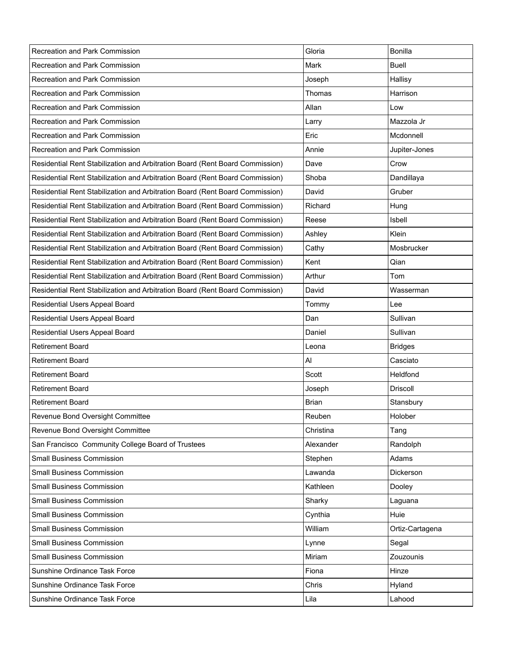| Recreation and Park Commission                                               | Gloria       | <b>Bonilla</b>  |
|------------------------------------------------------------------------------|--------------|-----------------|
| Recreation and Park Commission                                               | Mark         | Buell           |
| Recreation and Park Commission                                               | Joseph       | Hallisy         |
| Recreation and Park Commission                                               | Thomas       | Harrison        |
| Recreation and Park Commission                                               | Allan        | Low             |
| Recreation and Park Commission                                               | Larry        | Mazzola Jr      |
| Recreation and Park Commission                                               | Eric         | Mcdonnell       |
| Recreation and Park Commission                                               | Annie        | Jupiter-Jones   |
| Residential Rent Stabilization and Arbitration Board (Rent Board Commission) | Dave         | Crow            |
| Residential Rent Stabilization and Arbitration Board (Rent Board Commission) | Shoba        | Dandillaya      |
| Residential Rent Stabilization and Arbitration Board (Rent Board Commission) | David        | Gruber          |
| Residential Rent Stabilization and Arbitration Board (Rent Board Commission) | Richard      | Hung            |
| Residential Rent Stabilization and Arbitration Board (Rent Board Commission) | Reese        | Isbell          |
| Residential Rent Stabilization and Arbitration Board (Rent Board Commission) | Ashley       | Klein           |
| Residential Rent Stabilization and Arbitration Board (Rent Board Commission) | Cathy        | Mosbrucker      |
| Residential Rent Stabilization and Arbitration Board (Rent Board Commission) | Kent         | Qian            |
| Residential Rent Stabilization and Arbitration Board (Rent Board Commission) | Arthur       | Tom             |
| Residential Rent Stabilization and Arbitration Board (Rent Board Commission) | David        | Wasserman       |
| Residential Users Appeal Board                                               | Tommy        | Lee             |
| Residential Users Appeal Board                                               | Dan          | Sullivan        |
| Residential Users Appeal Board                                               | Daniel       | Sullivan        |
| <b>Retirement Board</b>                                                      | Leona        | <b>Bridges</b>  |
| <b>Retirement Board</b>                                                      | Al           | Casciato        |
| <b>Retirement Board</b>                                                      | Scott        | Heldfond        |
| <b>Retirement Board</b>                                                      | Joseph       | <b>Driscoll</b> |
| <b>Retirement Board</b>                                                      | <b>Brian</b> | Stansbury       |
| Revenue Bond Oversight Committee                                             | Reuben       | Holober         |
| Revenue Bond Oversight Committee                                             | Christina    | Tang            |
| San Francisco Community College Board of Trustees                            | Alexander    | Randolph        |
| Small Business Commission                                                    | Stephen      | Adams           |
| <b>Small Business Commission</b>                                             | Lawanda      | Dickerson       |
| <b>Small Business Commission</b>                                             | Kathleen     | Dooley          |
| Small Business Commission                                                    | Sharky       | Laguana         |
| <b>Small Business Commission</b>                                             | Cynthia      | Huie            |
| Small Business Commission                                                    | William      | Ortiz-Cartagena |
| Small Business Commission                                                    | Lynne        | Segal           |
| Small Business Commission                                                    | Miriam       | Zouzounis       |
| Sunshine Ordinance Task Force                                                | Fiona        | Hinze           |
| Sunshine Ordinance Task Force                                                | Chris        | Hyland          |
| Sunshine Ordinance Task Force                                                | Lila         | Lahood          |